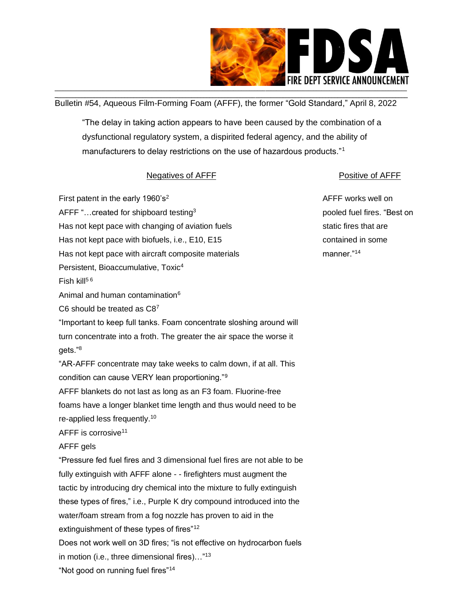

\_\_\_\_\_\_\_\_\_\_\_\_\_\_\_\_\_\_\_\_\_\_\_\_\_\_\_\_\_\_\_\_\_\_\_\_\_\_\_\_\_\_\_\_\_\_\_\_\_\_\_\_\_\_\_\_\_\_\_\_\_\_\_\_\_\_\_\_\_\_\_\_\_\_\_\_\_\_\_\_\_\_\_\_\_\_\_\_\_\_\_\_\_\_\_\_\_\_\_\_\_\_\_\_\_\_\_\_\_\_\_\_\_\_\_\_ Bulletin #54, Aqueous Film-Forming Foam (AFFF), the former "Gold Standard," April 8, 2022

"The delay in taking action appears to have been caused by the combination of a dysfunctional regulatory system, a dispirited federal agency, and the ability of manufacturers to delay restrictions on the use of hazardous products."<sup>1</sup>

## Negatives of AFFF **Positive OF AFFF**

First patent in the early  $1960's^2$ AFFF "... created for shipboard testing<sup>3</sup> Has not kept pace with changing of aviation fuels Has not kept pace with biofuels, i.e., E10, E15 Has not kept pace with aircraft composite materials Persistent, Bioaccumulative, Toxic<sup>4</sup> Fish kill $56$ Animal and human contamination<sup>6</sup> C6 should be treated as C8<sup>7</sup> "Important to keep full tanks. Foam concentrate sloshing around will turn concentrate into a froth. The greater the air space the worse it gets."<sup>8</sup> "AR-AFFF concentrate may take weeks to calm down, if at all. This condition can cause VERY lean proportioning."<sup>9</sup> AFFF blankets do not last as long as an F3 foam. Fluorine-free foams have a longer blanket time length and thus would need to be re-applied less frequently.<sup>10</sup> AFFF is corrosive<sup>11</sup> AFFF gels "Pressure fed fuel fires and 3 dimensional fuel fires are not able to be fully extinguish with AFFF alone - - firefighters must augment the tactic by introducing dry chemical into the mixture to fully extinguish these types of fires," i.e., Purple K dry compound introduced into the water/foam stream from a fog nozzle has proven to aid in the extinguishment of these types of fires"<sup>12</sup> Does not work well on 3D fires; "is not effective on hydrocarbon fuels in motion (i.e., three dimensional fires)…"<sup>13</sup>

AFFF works well on pooled fuel fires. "Best on static fires that are contained in some manner."14

"Not good on running fuel fires"<sup>14</sup>